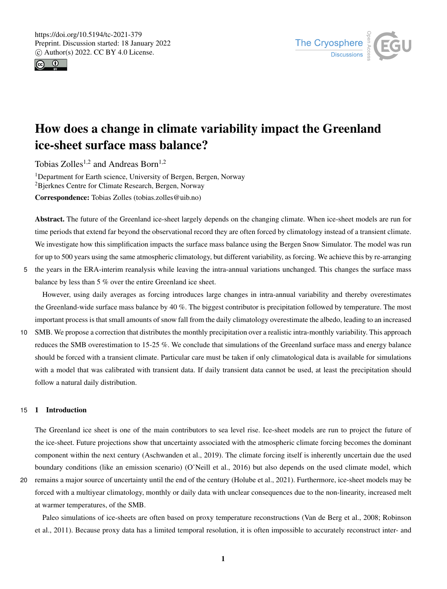



# How does a change in climate variability impact the Greenland ice-sheet surface mass balance?

Tobias Zolles<sup>1,2</sup> and Andreas Born<sup>1,2</sup>

<sup>1</sup>Department for Earth science, University of Bergen, Bergen, Norway <sup>2</sup>Bjerknes Centre for Climate Research, Bergen, Norway

Correspondence: Tobias Zolles (tobias.zolles@uib.no)

Abstract. The future of the Greenland ice-sheet largely depends on the changing climate. When ice-sheet models are run for time periods that extend far beyond the observational record they are often forced by climatology instead of a transient climate. We investigate how this simplification impacts the surface mass balance using the Bergen Snow Simulator. The model was run for up to 500 years using the same atmospheric climatology, but different variability, as forcing. We achieve this by re-arranging

5 the years in the ERA-interim reanalysis while leaving the intra-annual variations unchanged. This changes the surface mass balance by less than 5 % over the entire Greenland ice sheet.

However, using daily averages as forcing introduces large changes in intra-annual variability and thereby overestimates the Greenland-wide surface mass balance by 40 %. The biggest contributor is precipitation followed by temperature. The most important process is that small amounts of snow fall from the daily climatology overestimate the albedo, leading to an increased

10 SMB. We propose a correction that distributes the monthly precipitation over a realistic intra-monthly variability. This approach reduces the SMB overestimation to 15-25 %. We conclude that simulations of the Greenland surface mass and energy balance should be forced with a transient climate. Particular care must be taken if only climatological data is available for simulations with a model that was calibrated with transient data. If daily transient data cannot be used, at least the precipitation should follow a natural daily distribution.

# 15 1 Introduction

The Greenland ice sheet is one of the main contributors to sea level rise. Ice-sheet models are run to project the future of the ice-sheet. Future projections show that uncertainty associated with the atmospheric climate forcing becomes the dominant component within the next century (Aschwanden et al., 2019). The climate forcing itself is inherently uncertain due the used boundary conditions (like an emission scenario) (O'Neill et al., 2016) but also depends on the used climate model, which

20 remains a major source of uncertainty until the end of the century (Holube et al., 2021). Furthermore, ice-sheet models may be forced with a multiyear climatology, monthly or daily data with unclear consequences due to the non-linearity, increased melt at warmer temperatures, of the SMB.

Paleo simulations of ice-sheets are often based on proxy temperature reconstructions (Van de Berg et al., 2008; Robinson et al., 2011). Because proxy data has a limited temporal resolution, it is often impossible to accurately reconstruct inter- and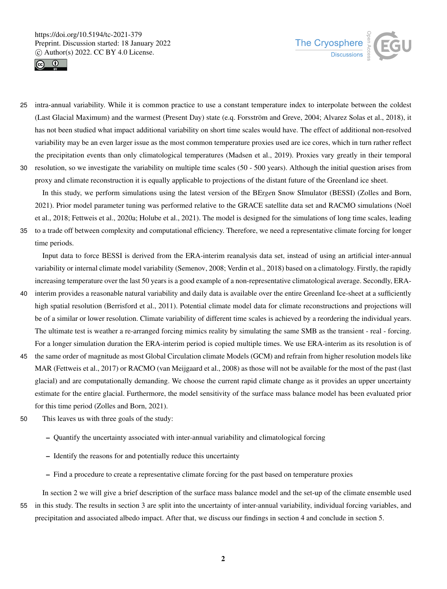



25 intra-annual variability. While it is common practice to use a constant temperature index to interpolate between the coldest (Last Glacial Maximum) and the warmest (Present Day) state (e.q. Forsström and Greve, 2004; Alvarez Solas et al., 2018), it has not been studied what impact additional variability on short time scales would have. The effect of additional non-resolved variability may be an even larger issue as the most common temperature proxies used are ice cores, which in turn rather reflect the precipitation events than only climatological temperatures (Madsen et al., 2019). Proxies vary greatly in their temporal 30 resolution, so we investigate the variability on multiple time scales (50 - 500 years). Although the initial question arises from

proxy and climate reconstruction it is equally applicable to projections of the distant future of the Greenland ice sheet. In this study, we perform simulations using the latest version of the BEr*ge*n Snow SImulator (BESSI) (Zolles and Born, 2021). Prior model parameter tuning was performed relative to the GRACE satellite data set and RACMO simulations (Noël et al., 2018; Fettweis et al., 2020a; Holube et al., 2021). The model is designed for the simulations of long time scales, leading

35 to a trade off between complexity and computational efficiency. Therefore, we need a representative climate forcing for longer time periods.

Input data to force BESSI is derived from the ERA-interim reanalysis data set, instead of using an artificial inter-annual variability or internal climate model variability (Semenov, 2008; Verdin et al., 2018) based on a climatology. Firstly, the rapidly increasing temperature over the last 50 years is a good example of a non-representative climatological average. Secondly, ERA-

- 40 interim provides a reasonable natural variability and daily data is available over the entire Greenland Ice-sheet at a sufficiently high spatial resolution (Berrisford et al., 2011). Potential climate model data for climate reconstructions and projections will be of a similar or lower resolution. Climate variability of different time scales is achieved by a reordering the individual years. The ultimate test is weather a re-arranged forcing mimics reality by simulating the same SMB as the transient - real - forcing. For a longer simulation duration the ERA-interim period is copied multiple times. We use ERA-interim as its resolution is of
- 45 the same order of magnitude as most Global Circulation climate Models (GCM) and refrain from higher resolution models like MAR (Fettweis et al., 2017) or RACMO (van Meijgaard et al., 2008) as those will not be available for the most of the past (last glacial) and are computationally demanding. We choose the current rapid climate change as it provides an upper uncertainty estimate for the entire glacial. Furthermore, the model sensitivity of the surface mass balance model has been evaluated prior for this time period (Zolles and Born, 2021).
- 50 This leaves us with three goals of the study:
	- Quantify the uncertainty associated with inter-annual variability and climatological forcing
	- Identify the reasons for and potentially reduce this uncertainty
	- Find a procedure to create a representative climate forcing for the past based on temperature proxies

In section 2 we will give a brief description of the surface mass balance model and the set-up of the climate ensemble used 55 in this study. The results in section 3 are split into the uncertainty of inter-annual variability, individual forcing variables, and precipitation and associated albedo impact. After that, we discuss our findings in section 4 and conclude in section 5.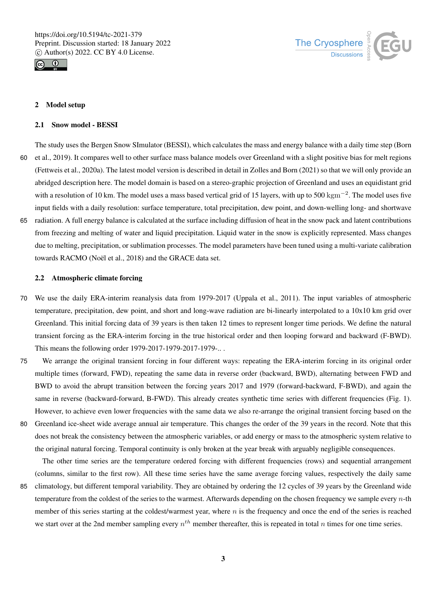



## 2 Model setup

### 2.1 Snow model - BESSI

- The study uses the Bergen Snow SImulator (BESSI), which calculates the mass and energy balance with a daily time step (Born 60 et al., 2019). It compares well to other surface mass balance models over Greenland with a slight positive bias for melt regions (Fettweis et al., 2020a). The latest model version is described in detail in Zolles and Born (2021) so that we will only provide an abridged description here. The model domain is based on a stereo-graphic projection of Greenland and uses an equidistant grid with a resolution of 10 km. The model uses a mass based vertical grid of 15 layers, with up to 500 kgm<sup>-2</sup>. The model uses five input fields with a daily resolution: surface temperature, total precipitation, dew point, and down-welling long- and shortwave
- 65 radiation. A full energy balance is calculated at the surface including diffusion of heat in the snow pack and latent contributions from freezing and melting of water and liquid precipitation. Liquid water in the snow is explicitly represented. Mass changes due to melting, precipitation, or sublimation processes. The model parameters have been tuned using a multi-variate calibration towards RACMO (Noël et al., 2018) and the GRACE data set.

## 2.2 Atmospheric climate forcing

- 70 We use the daily ERA-interim reanalysis data from 1979-2017 (Uppala et al., 2011). The input variables of atmospheric temperature, precipitation, dew point, and short and long-wave radiation are bi-linearly interpolated to a 10x10 km grid over Greenland. This initial forcing data of 39 years is then taken 12 times to represent longer time periods. We define the natural transient forcing as the ERA-interim forcing in the true historical order and then looping forward and backward (F-BWD). This means the following order 1979-2017-1979-2017-1979-...
- 75 We arrange the original transient forcing in four different ways: repeating the ERA-interim forcing in its original order multiple times (forward, FWD), repeating the same data in reverse order (backward, BWD), alternating between FWD and BWD to avoid the abrupt transition between the forcing years 2017 and 1979 (forward-backward, F-BWD), and again the same in reverse (backward-forward, B-FWD). This already creates synthetic time series with different frequencies (Fig. 1). However, to achieve even lower frequencies with the same data we also re-arrange the original transient forcing based on the
- 80 Greenland ice-sheet wide average annual air temperature. This changes the order of the 39 years in the record. Note that this does not break the consistency between the atmospheric variables, or add energy or mass to the atmospheric system relative to the original natural forcing. Temporal continuity is only broken at the year break with arguably negligible consequences.

The other time series are the temperature ordered forcing with different frequencies (rows) and sequential arrangement (columns, similar to the first row). All these time series have the same average forcing values, respectively the daily same

85 climatology, but different temporal variability. They are obtained by ordering the 12 cycles of 39 years by the Greenland wide temperature from the coldest of the series to the warmest. Afterwards depending on the chosen frequency we sample every  $n$ -th member of this series starting at the coldest/warmest year, where  $n$  is the frequency and once the end of the series is reached we start over at the 2nd member sampling every  $n<sup>th</sup>$  member thereafter, this is repeated in total n times for one time series.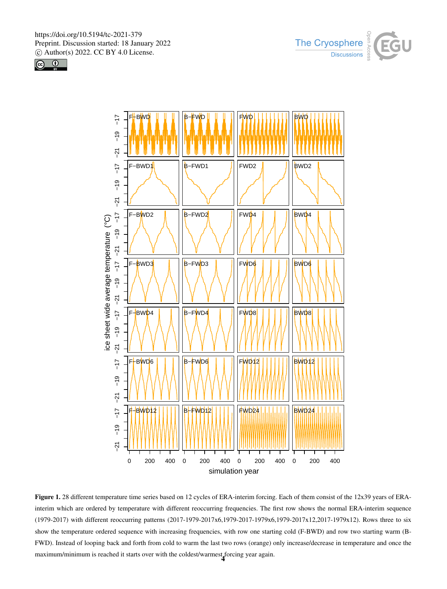





Figure 1. 28 different temperature time series based on 12 cycles of ERA-interim forcing. Each of them consist of the 12x39 years of ERAinterim which are ordered by temperature with different reoccurring frequencies. The first row shows the normal ERA-interim sequence (1979-2017) with different reoccurring patterns (2017-1979-2017x6,1979-2017-1979x6,1979-2017x12,2017-1979x12). Rows three to six show the temperature ordered sequence with increasing frequencies, with row one starting cold (F-BWD) and row two starting warm (B-FWD). Instead of looping back and forth from cold to warm the last two rows (orange) only increase/decrease in temperature and once the maximum/minimum is reached it starts over with the coldest/warmest forcing year again.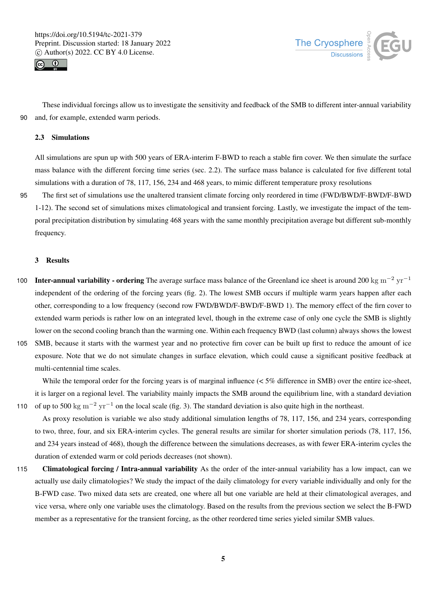



These individual forcings allow us to investigate the sensitivity and feedback of the SMB to different inter-annual variability 90 and, for example, extended warm periods.

#### 2.3 Simulations

All simulations are spun up with 500 years of ERA-interim F-BWD to reach a stable firn cover. We then simulate the surface mass balance with the different forcing time series (sec. 2.2). The surface mass balance is calculated for five different total simulations with a duration of 78, 117, 156, 234 and 468 years, to mimic different temperature proxy resolutions

95 The first set of simulations use the unaltered transient climate forcing only reordered in time (FWD/BWD/F-BWD/F-BWD 1-12). The second set of simulations mixes climatological and transient forcing. Lastly, we investigate the impact of the temporal precipitation distribution by simulating 468 years with the same monthly precipitation average but different sub-monthly frequency.

#### 3 Results

- **Inter-annual variability ordering** The average surface mass balance of the Greenland ice sheet is around 200 kg m<sup>-2</sup> yr<sup>-1</sup> 100 independent of the ordering of the forcing years (fig. 2). The lowest SMB occurs if multiple warm years happen after each other, corresponding to a low frequency (second row FWD/BWD/F-BWD/F-BWD 1). The memory effect of the firn cover to extended warm periods is rather low on an integrated level, though in the extreme case of only one cycle the SMB is slightly lower on the second cooling branch than the warming one. Within each frequency BWD (last column) always shows the lowest
- 105 SMB, because it starts with the warmest year and no protective firn cover can be built up first to reduce the amount of ice exposure. Note that we do not simulate changes in surface elevation, which could cause a significant positive feedback at multi-centennial time scales.

While the temporal order for the forcing years is of marginal influence  $(< 5\%$  difference in SMB) over the entire ice-sheet, it is larger on a regional level. The variability mainly impacts the SMB around the equilibrium line, with a standard deviation 110 of up to 500 kg m<sup>-2</sup> yr<sup>-1</sup> on the local scale (fig. 3). The standard deviation is also quite high in the northeast.

As proxy resolution is variable we also study additional simulation lengths of 78, 117, 156, and 234 years, corresponding to two, three, four, and six ERA-interim cycles. The general results are similar for shorter simulation periods (78, 117, 156, and 234 years instead of 468), though the difference between the simulations decreases, as with fewer ERA-interim cycles the duration of extended warm or cold periods decreases (not shown).

115 Climatological forcing / Intra-annual variability As the order of the inter-annual variability has a low impact, can we actually use daily climatologies? We study the impact of the daily climatology for every variable individually and only for the B-FWD case. Two mixed data sets are created, one where all but one variable are held at their climatological averages, and vice versa, where only one variable uses the climatology. Based on the results from the previous section we select the B-FWD member as a representative for the transient forcing, as the other reordered time series yieled similar SMB values.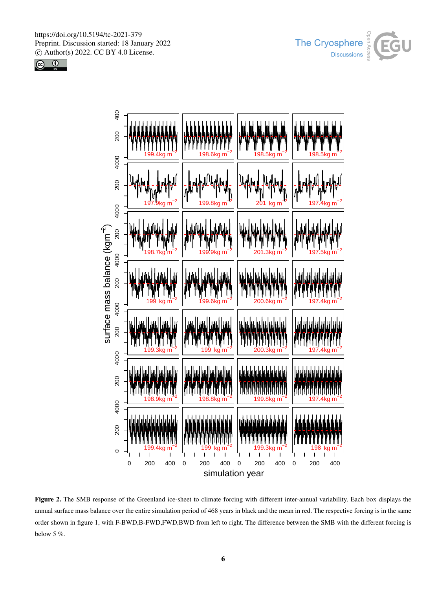





Figure 2. The SMB response of the Greenland ice-sheet to climate forcing with different inter-annual variability. Each box displays the annual surface mass balance over the entire simulation period of 468 years in black and the mean in red. The respective forcing is in the same order shown in figure 1, with F-BWD,B-FWD,FWD,BWD from left to right. The difference between the SMB with the different forcing is below 5 %.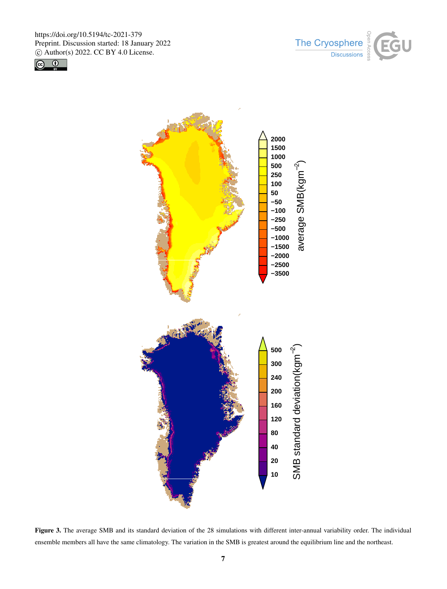





Figure 3. The average SMB and its standard deviation of the 28 simulations with different inter-annual variability order. The individual ensemble members all have the same climatology. The variation in the SMB is greatest around the equilibrium line and the northeast.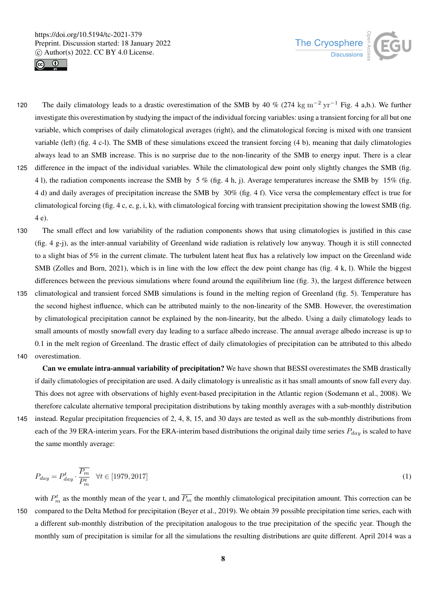



120 The daily climatology leads to a drastic overestimation of the SMB by 40 % (274 kg m<sup>-2</sup> yr<sup>-1</sup> Fig. 4 a,b.). We further investigate this overestimation by studying the impact of the individual forcing variables: using a transient forcing for all but one variable, which comprises of daily climatological averages (right), and the climatological forcing is mixed with one transient variable (left) (fig. 4 c-l). The SMB of these simulations exceed the transient forcing (4 b), meaning that daily climatologies always lead to an SMB increase. This is no surprise due to the non-linearity of the SMB to energy input. There is a clear 125 difference in the impact of the individual variables. While the climatological dew point only slightly changes the SMB (fig. 4 l), the radiation components increase the SMB by 5 % (fig. 4 h, j). Average temperatures increase the SMB by 15% (fig.

4 d) and daily averages of precipitation increase the SMB by 30% (fig. 4 f). Vice versa the complementary effect is true for climatological forcing (fig. 4 c, e, g, i, k), with climatological forcing with transient precipitation showing the lowest SMB (fig. 4 e).

- 130 The small effect and low variability of the radiation components shows that using climatologies is justified in this case (fig. 4 g-j), as the inter-annual variability of Greenland wide radiation is relatively low anyway. Though it is still connected to a slight bias of 5% in the current climate. The turbulent latent heat flux has a relatively low impact on the Greenland wide SMB (Zolles and Born, 2021), which is in line with the low effect the dew point change has (fig. 4 k, l). While the biggest differences between the previous simulations where found around the equilibrium line (fig. 3), the largest difference between
- 135 climatological and transient forced SMB simulations is found in the melting region of Greenland (fig. 5). Temperature has the second highest influence, which can be attributed mainly to the non-linearity of the SMB. However, the overestimation by climatological precipitation cannot be explained by the non-linearity, but the albedo. Using a daily climatology leads to small amounts of mostly snowfall every day leading to a surface albedo increase. The annual average albedo increase is up to 0.1 in the melt region of Greenland. The drastic effect of daily climatologies of precipitation can be attributed to this albedo
- 140 overestimation.

Can we emulate intra-annual variability of precipitation? We have shown that BESSI overestimates the SMB drastically if daily climatologies of precipitation are used. A daily climatology is unrealistic as it has small amounts of snow fall every day. This does not agree with observations of highly event-based precipitation in the Atlantic region (Sodemann et al., 2008). We therefore calculate alternative temporal precipitation distributions by taking monthly averages with a sub-monthly distribution

145 instead. Regular precipitation frequencies of 2, 4, 8, 15, and 30 days are tested as well as the sub-monthly distributions from each of the 39 ERA-interim years. For the ERA-interim based distributions the original daily time series  $P_{day}$  is scaled to have the same monthly average:

$$
P_{day} = P_{day}^t \cdot \frac{\overline{P_m}}{P_m^t} \quad \forall t \in [1979, 2017] \tag{1}
$$

with  $P_m^t$  as the monthly mean of the year t, and  $\overline{P_m}$  the monthly climatological precipitation amount. This correction can be 150 compared to the Delta Method for precipitation (Beyer et al., 2019). We obtain 39 possible precipitation time series, each with a different sub-monthly distribution of the precipitation analogous to the true precipitation of the specific year. Though the monthly sum of precipitation is similar for all the simulations the resulting distributions are quite different. April 2014 was a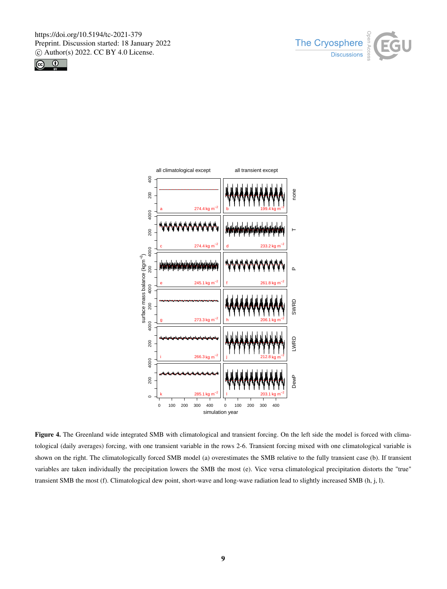





Figure 4. The Greenland wide integrated SMB with climatological and transient forcing. On the left side the model is forced with climatological (daily averages) forcing, with one transient variable in the rows 2-6. Transient forcing mixed with one climatological variable is shown on the right. The climatologically forced SMB model (a) overestimates the SMB relative to the fully transient case (b). If transient variables are taken individually the precipitation lowers the SMB the most (e). Vice versa climatological precipitation distorts the "true" transient SMB the most (f). Climatological dew point, short-wave and long-wave radiation lead to slightly increased SMB (h, j, l).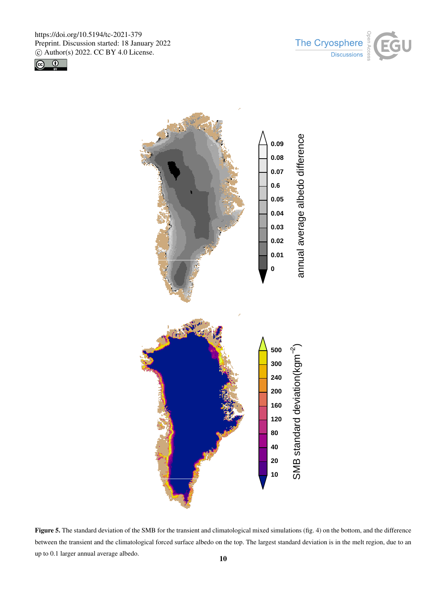





Figure 5. The standard deviation of the SMB for the transient and climatological mixed simulations (fig. 4) on the bottom, and the difference between the transient and the climatological forced surface albedo on the top. The largest standard deviation is in the melt region, due to an up to 0.1 larger annual average albedo.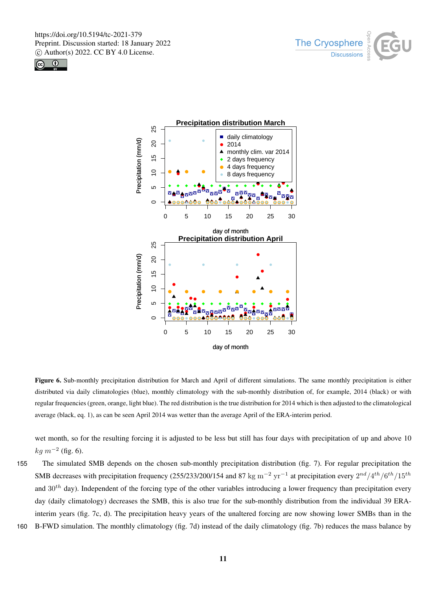





Figure 6. Sub-monthly precipitation distribution for March and April of different simulations. The same monthly precipitation is either distributed via daily climatologies (blue), monthly climatology with the sub-monthly distribution of, for example, 2014 (black) or with regular frequencies (green, orange, light blue). The red distribution is the true distribution for 2014 which is then adjusted to the climatological average (black, eq. 1), as can be seen April 2014 was wetter than the average April of the ERA-interim period.

wet month, so for the resulting forcing it is adjusted to be less but still has four days with precipitation of up and above 10  $kg m^{-2}$  (fig. 6).

155 The simulated SMB depends on the chosen sub-monthly precipitation distribution (fig. 7). For regular precipitation the SMB decreases with precipitation frequency (255/233/200/154 and 87 kg m<sup>-2</sup> yr<sup>-1</sup> at precipitation every  $2^{nd}/4^{th}/6^{th}/15^{th}$ and  $30<sup>th</sup>$  day). Independent of the forcing type of the other variables introducing a lower frequency than precipitation every day (daily climatology) decreases the SMB, this is also true for the sub-monthly distribution from the individual 39 ERAinterim years (fig. 7c, d). The precipitation heavy years of the unaltered forcing are now showing lower SMBs than in the

160 B-FWD simulation. The monthly climatology (fig. 7d) instead of the daily climatology (fig. 7b) reduces the mass balance by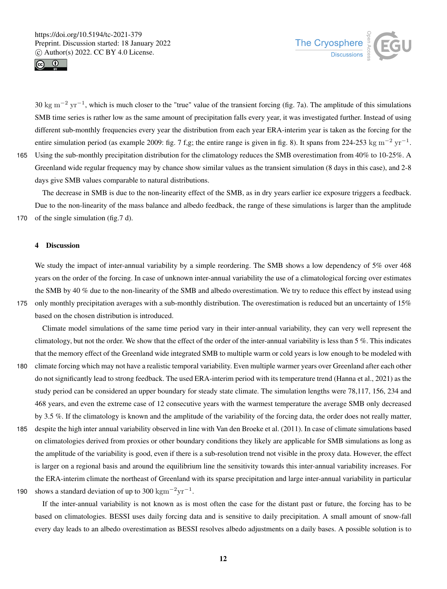



30 kg m<sup>-2</sup> yr<sup>-1</sup>, which is much closer to the "true" value of the transient forcing (fig. 7a). The amplitude of this simulations SMB time series is rather low as the same amount of precipitation falls every year, it was investigated further. Instead of using different sub-monthly frequencies every year the distribution from each year ERA-interim year is taken as the forcing for the entire simulation period (as example 2009: fig. 7 f,g; the entire range is given in fig. 8). It spans from 224-253 kg m<sup>-2</sup> yr<sup>-1</sup>. 165 Using the sub-monthly precipitation distribution for the climatology reduces the SMB overestimation from 40% to 10-25%. A

Greenland wide regular frequency may by chance show similar values as the transient simulation (8 days in this case), and 2-8 days give SMB values comparable to natural distributions.

The decrease in SMB is due to the non-linearity effect of the SMB, as in dry years earlier ice exposure triggers a feedback. Due to the non-linearity of the mass balance and albedo feedback, the range of these simulations is larger than the amplitude 170 of the single simulation (fig.7 d).

### 4 Discussion

We study the impact of inter-annual variability by a simple reordering. The SMB shows a low dependency of 5% over 468 years on the order of the forcing. In case of unknown inter-annual variability the use of a climatological forcing over estimates the SMB by 40 % due to the non-linearity of the SMB and albedo overestimation. We try to reduce this effect by instead using

175 only monthly precipitation averages with a sub-monthly distribution. The overestimation is reduced but an uncertainty of 15% based on the chosen distribution is introduced.

Climate model simulations of the same time period vary in their inter-annual variability, they can very well represent the climatology, but not the order. We show that the effect of the order of the inter-annual variability is less than 5 %. This indicates that the memory effect of the Greenland wide integrated SMB to multiple warm or cold years is low enough to be modeled with

- 180 climate forcing which may not have a realistic temporal variability. Even multiple warmer years over Greenland after each other do not significantly lead to strong feedback. The used ERA-interim period with its temperature trend (Hanna et al., 2021) as the study period can be considered an upper boundary for steady state climate. The simulation lengths were 78,117, 156, 234 and 468 years, and even the extreme case of 12 consecutive years with the warmest temperature the average SMB only decreased by 3.5 %. If the climatology is known and the amplitude of the variability of the forcing data, the order does not really matter,
- 185 despite the high inter annual variability observed in line with Van den Broeke et al. (2011). In case of climate simulations based on climatologies derived from proxies or other boundary conditions they likely are applicable for SMB simulations as long as the amplitude of the variability is good, even if there is a sub-resolution trend not visible in the proxy data. However, the effect is larger on a regional basis and around the equilibrium line the sensitivity towards this inter-annual variability increases. For the ERA-interim climate the northeast of Greenland with its sparse precipitation and large inter-annual variability in particular 190 shows a standard deviation of up to 300 kgm<sup>-2</sup>yr<sup>-1</sup>.
- 

If the inter-annual variability is not known as is most often the case for the distant past or future, the forcing has to be based on climatologies. BESSI uses daily forcing data and is sensitive to daily precipitation. A small amount of snow-fall every day leads to an albedo overestimation as BESSI resolves albedo adjustments on a daily bases. A possible solution is to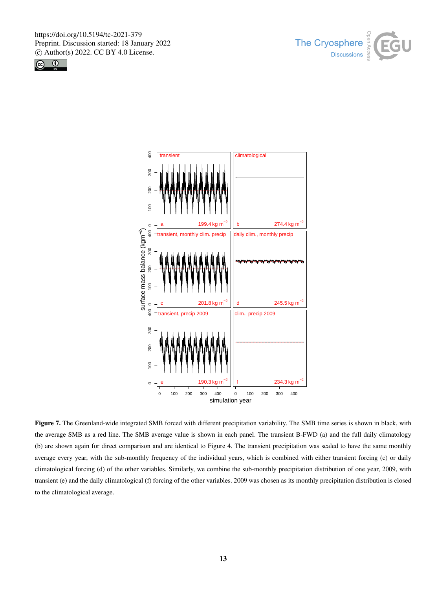





Figure 7. The Greenland-wide integrated SMB forced with different precipitation variability. The SMB time series is shown in black, with the average SMB as a red line. The SMB average value is shown in each panel. The transient B-FWD (a) and the full daily climatology (b) are shown again for direct comparison and are identical to Figure 4. The transient precipitation was scaled to have the same monthly average every year, with the sub-monthly frequency of the individual years, which is combined with either transient forcing (c) or daily climatological forcing (d) of the other variables. Similarly, we combine the sub-monthly precipitation distribution of one year, 2009, with transient (e) and the daily climatological (f) forcing of the other variables. 2009 was chosen as its monthly precipitation distribution is closed to the climatological average.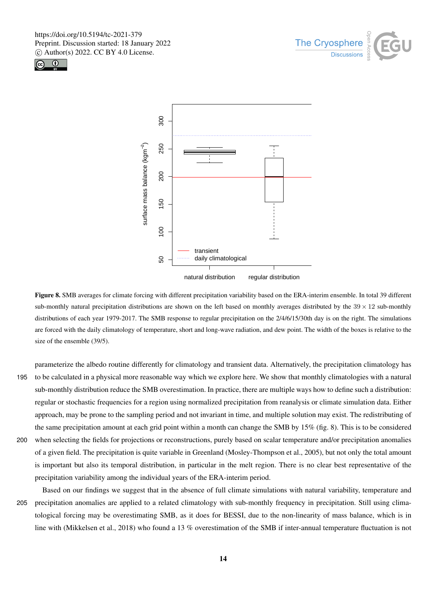





Figure 8. SMB averages for climate forcing with different precipitation variability based on the ERA-interim ensemble. In total 39 different sub-monthly natural precipitation distributions are shown on the left based on monthly averages distributed by the  $39 \times 12$  sub-monthly distributions of each year 1979-2017. The SMB response to regular precipitation on the 2/4/6/15/30th day is on the right. The simulations are forced with the daily climatology of temperature, short and long-wave radiation, and dew point. The width of the boxes is relative to the size of the ensemble (39/5).

parameterize the albedo routine differently for climatology and transient data. Alternatively, the precipitation climatology has 195 to be calculated in a physical more reasonable way which we explore here. We show that monthly climatologies with a natural sub-monthly distribution reduce the SMB overestimation. In practice, there are multiple ways how to define such a distribution: regular or stochastic frequencies for a region using normalized precipitation from reanalysis or climate simulation data. Either approach, may be prone to the sampling period and not invariant in time, and multiple solution may exist. The redistributing of the same precipitation amount at each grid point within a month can change the SMB by 15% (fig. 8). This is to be considered 200 when selecting the fields for projections or reconstructions, purely based on scalar temperature and/or precipitation anomalies

of a given field. The precipitation is quite variable in Greenland (Mosley-Thompson et al., 2005), but not only the total amount is important but also its temporal distribution, in particular in the melt region. There is no clear best representative of the precipitation variability among the individual years of the ERA-interim period.

Based on our findings we suggest that in the absence of full climate simulations with natural variability, temperature and 205 precipitation anomalies are applied to a related climatology with sub-monthly frequency in precipitation. Still using climatological forcing may be overestimating SMB, as it does for BESSI, due to the non-linearity of mass balance, which is in line with (Mikkelsen et al., 2018) who found a 13 % overestimation of the SMB if inter-annual temperature fluctuation is not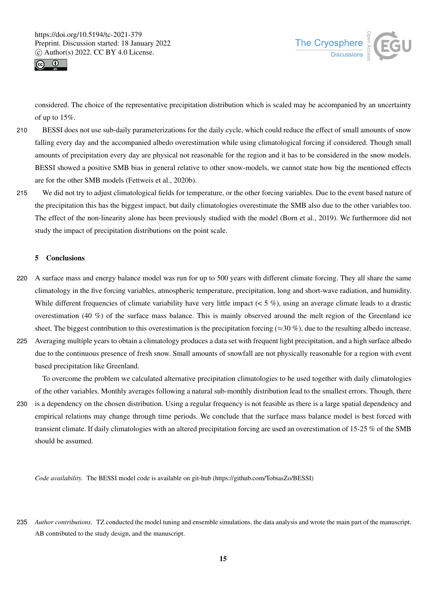



considered. The choice of the representative precipitation distribution which is scaled may be accompanied by an uncertainty of up to 15%.

- 210 BESSI does not use sub-daily parameterizations for the daily cycle, which could reduce the effect of small amounts of snow falling every day and the accompanied albedo overestimation while using climatological forcing if considered. Though small amounts of precipitation every day are physical not reasonable for the region and it has to be considered in the snow models. BESSI showed a positive SMB bias in general relative to other snow-models, we cannot state how big the mentioned effects are for the other SMB models (Fettweis et al., 2020b).
- 215 We did not try to adjust climatological fields for temperature, or the other forcing variables. Due to the event based nature of the precipitation this has the biggest impact, but daily climatologies overestimate the SMB also due to the other variables too. The effect of the non-linearity alone has been previously studied with the model (Born et al., 2019). We furthermore did not study the impact of precipitation distributions on the point scale.

# 5 Conclusions

- 220 A surface mass and energy balance model was run for up to 500 years with different climate forcing. They all share the same climatology in the five forcing variables, atmospheric temperature, precipitation, long and short-wave radiation, and humidity. While different frequencies of climate variability have very little impact  $(< 5\%$ ), using an average climate leads to a drastic overestimation (40 %) of the surface mass balance. This is mainly observed around the melt region of the Greenland ice sheet. The biggest contribution to this overestimation is the precipitation forcing ( $\approx$ 30 %), due to the resulting albedo increase.
- 225 Averaging multiple years to obtain a climatology produces a data set with frequent light precipitation, and a high surface albedo due to the continuous presence of fresh snow. Small amounts of snowfall are not physically reasonable for a region with event based precipitation like Greenland.
- To overcome the problem we calculated alternative precipitation climatologies to be used together with daily climatologies of the other variables. Monthly averages following a natural sub-monthly distribution lead to the smallest errors. Though, there 230 is a dependency on the chosen distribution. Using a regular frequency is not feasible as there is a large spatial dependency and empirical relations may change through time periods. We conclude that the surface mass balance model is best forced with transient climate. If daily climatologies with an altered precipitation forcing are used an overestimation of 15-25 % of the SMB should be assumed.

*Code availability.* The BESSI model code is available on git-hub (https://github.com/TobiasZo/BESSI)

235 *Author contributions.* TZ conducted the model tuning and ensemble simulations, the data analysis and wrote the main part of the manuscript. AB contributed to the study design, and the manuscript.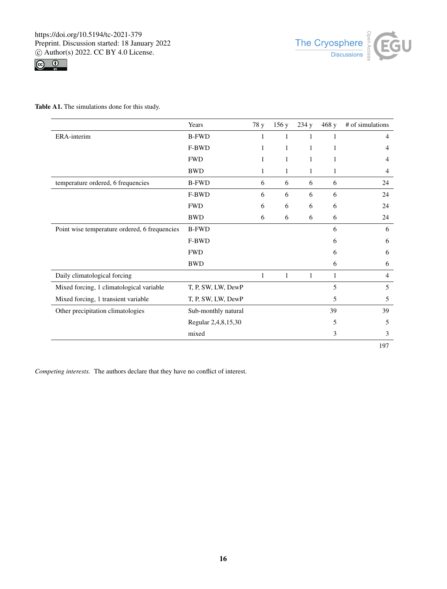



Table A1. The simulations done for this study.

|                                               | Years               | 78 y | 156y         | 234y         | 468y | # of simulations |
|-----------------------------------------------|---------------------|------|--------------|--------------|------|------------------|
| ERA-interim                                   | <b>B-FWD</b>        | 1    | 1            | $\mathbf{1}$ | 1    | 4                |
|                                               | F-BWD               | 1    | $\mathbf{1}$ | $\mathbf{1}$ | 1    | 4                |
|                                               | <b>FWD</b>          | 1    | 1            | $\mathbf{1}$ | 1    | 4                |
|                                               | <b>BWD</b>          | 1    | 1            | 1            | 1    | 4                |
| temperature ordered, 6 frequencies            | <b>B-FWD</b>        | 6    | 6            | 6            | 6    | 24               |
|                                               | F-BWD               | 6    | 6            | 6            | 6    | 24               |
|                                               | <b>FWD</b>          | 6    | 6            | 6            | 6    | 24               |
|                                               | <b>BWD</b>          | 6    | 6            | 6            | 6    | 24               |
| Point wise temperature ordered, 6 frequencies | <b>B-FWD</b>        |      |              |              | 6    | 6                |
|                                               | F-BWD               |      |              |              | 6    | 6                |
|                                               | <b>FWD</b>          |      |              |              | 6    | 6                |
|                                               | <b>BWD</b>          |      |              |              | 6    | 6                |
| Daily climatological forcing                  |                     | 1    | 1            | $\mathbf{1}$ | 1    | 4                |
| Mixed forcing, 1 climatological variable      | T, P, SW, LW, DewP  |      |              |              | 5    | 5                |
| Mixed forcing, 1 transient variable           | T, P, SW, LW, DewP  |      |              |              | 5    | 5                |
| Other precipitation climatologies             | Sub-monthly natural |      |              |              | 39   | 39               |
|                                               | Regular 2,4,8,15,30 |      |              |              | 5    | 5                |
|                                               | mixed               |      |              |              | 3    | 3                |
|                                               |                     |      |              |              |      | 197              |

*Competing interests.* The authors declare that they have no conflict of interest.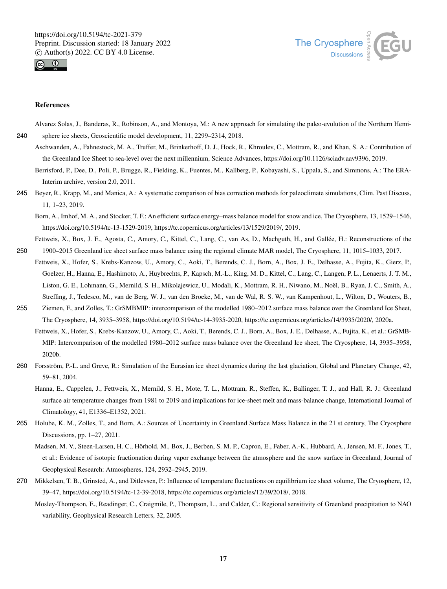



## References

Alvarez Solas, J., Banderas, R., Robinson, A., and Montoya, M.: A new approach for simulating the paleo-evolution of the Northern Hemi-240 sphere ice sheets, Geoscientific model development, 11, 2299–2314, 2018.

Aschwanden, A., Fahnestock, M. A., Truffer, M., Brinkerhoff, D. J., Hock, R., Khroulev, C., Mottram, R., and Khan, S. A.: Contribution of the Greenland Ice Sheet to sea-level over the next millennium, Science Advances, https://doi.org/10.1126/sciadv.aav9396, 2019.

Berrisford, P., Dee, D., Poli, P., Brugge, R., Fielding, K., Fuentes, M., Kallberg, P., Kobayashi, S., Uppala, S., and Simmons, A.: The ERA-Interim archive, version 2.0, 2011.

- 245 Beyer, R., Krapp, M., and Manica, A.: A systematic comparison of bias correction methods for paleoclimate simulations, Clim. Past Discuss, 11, 1–23, 2019.
	- Born, A., Imhof, M. A., and Stocker, T. F.: An efficient surface energy–mass balance model for snow and ice, The Cryosphere, 13, 1529–1546, https://doi.org/10.5194/tc-13-1529-2019, https://tc.copernicus.org/articles/13/1529/2019/, 2019.

Fettweis, X., Box, J. E., Agosta, C., Amory, C., Kittel, C., Lang, C., van As, D., Machguth, H., and Gallée, H.: Reconstructions of the 250 1900–2015 Greenland ice sheet surface mass balance using the regional climate MAR model, The Cryosphere, 11, 1015–1033, 2017.

- Fettweis, X., Hofer, S., Krebs-Kanzow, U., Amory, C., Aoki, T., Berends, C. J., Born, A., Box, J. E., Delhasse, A., Fujita, K., Gierz, P., Goelzer, H., Hanna, E., Hashimoto, A., Huybrechts, P., Kapsch, M.-L., King, M. D., Kittel, C., Lang, C., Langen, P. L., Lenaerts, J. T. M., Liston, G. E., Lohmann, G., Mernild, S. H., Mikolajewicz, U., Modali, K., Mottram, R. H., Niwano, M., Noël, B., Ryan, J. C., Smith, A., Streffing, J., Tedesco, M., van de Berg, W. J., van den Broeke, M., van de Wal, R. S. W., van Kampenhout, L., Wilton, D., Wouters, B.,
- 255 Ziemen, F., and Zolles, T.: GrSMBMIP: intercomparison of the modelled 1980–2012 surface mass balance over the Greenland Ice Sheet, The Cryosphere, 14, 3935–3958, https://doi.org/10.5194/tc-14-3935-2020, https://tc.copernicus.org/articles/14/3935/2020/, 2020a.
	- Fettweis, X., Hofer, S., Krebs-Kanzow, U., Amory, C., Aoki, T., Berends, C. J., Born, A., Box, J. E., Delhasse, A., Fujita, K., et al.: GrSMB-MIP: Intercomparison of the modelled 1980–2012 surface mass balance over the Greenland Ice sheet, The Cryosphere, 14, 3935–3958, 2020b.
- 260 Forsström, P.-L. and Greve, R.: Simulation of the Eurasian ice sheet dynamics during the last glaciation, Global and Planetary Change, 42, 59–81, 2004.
	- Hanna, E., Cappelen, J., Fettweis, X., Mernild, S. H., Mote, T. L., Mottram, R., Steffen, K., Ballinger, T. J., and Hall, R. J.: Greenland surface air temperature changes from 1981 to 2019 and implications for ice-sheet melt and mass-balance change, International Journal of Climatology, 41, E1336–E1352, 2021.
- 265 Holube, K. M., Zolles, T., and Born, A.: Sources of Uncertainty in Greenland Surface Mass Balance in the 21 st century, The Cryosphere Discussions, pp. 1–27, 2021.

Madsen, M. V., Steen-Larsen, H. C., Hörhold, M., Box, J., Berben, S. M. P., Capron, E., Faber, A.-K., Hubbard, A., Jensen, M. F., Jones, T., et al.: Evidence of isotopic fractionation during vapor exchange between the atmosphere and the snow surface in Greenland, Journal of Geophysical Research: Atmospheres, 124, 2932–2945, 2019.

- 270 Mikkelsen, T. B., Grinsted, A., and Ditlevsen, P.: Influence of temperature fluctuations on equilibrium ice sheet volume, The Cryosphere, 12, 39–47, https://doi.org/10.5194/tc-12-39-2018, https://tc.copernicus.org/articles/12/39/2018/, 2018.
	- Mosley-Thompson, E., Readinger, C., Craigmile, P., Thompson, L., and Calder, C.: Regional sensitivity of Greenland precipitation to NAO variability, Geophysical Research Letters, 32, 2005.